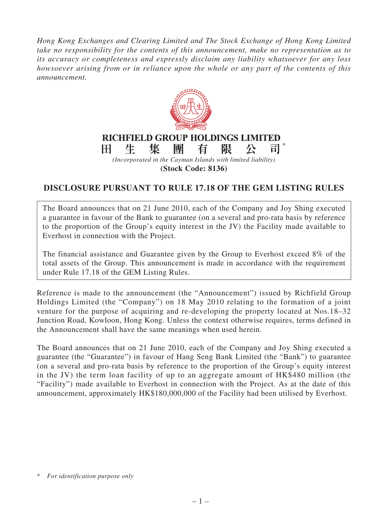*Hong Kong Exchanges and Clearing Limited and The Stock Exchange of Hong Kong Limited take no responsibility for the contents of this announcement, make no representation as to its accuracy or completeness and expressly disclaim any liability whatsoever for any loss howsoever arising from or in reliance upon the whole or any part of the contents of this announcement.*



## **(Stock Code: 8136)**

## **DISCLOSURE PURSUANT TO RULE 17.18 OF THE GEM LISTING RULES**

The Board announces that on 21 June 2010, each of the Company and Joy Shing executed a guarantee in favour of the Bank to guarantee (on a several and pro-rata basis by reference to the proportion of the Group's equity interest in the JV) the Facility made available to Everhost in connection with the Project.

The financial assistance and Guarantee given by the Group to Everhost exceed 8% of the total assets of the Group. This announcement is made in accordance with the requirement under Rule 17.18 of the GEM Listing Rules.

Reference is made to the announcement (the "Announcement") issued by Richfield Group Holdings Limited (the "Company") on 18 May 2010 relating to the formation of a joint venture for the purpose of acquiring and re-developing the property located at Nos.18–32 Junction Road, Kowloon, Hong Kong. Unless the context otherwise requires, terms defined in the Announcement shall have the same meanings when used herein.

The Board announces that on 21 June 2010, each of the Company and Joy Shing executed a guarantee (the "Guarantee") in favour of Hang Seng Bank Limited (the "Bank") to guarantee (on a several and pro-rata basis by reference to the proportion of the Group's equity interest in the JV) the term loan facility of up to an aggregate amount of HK\$480 million (the "Facility") made available to Everhost in connection with the Project. As at the date of this announcement, approximately HK\$180,000,000 of the Facility had been utilised by Everhost.

<sup>\*</sup> *For identification purpose only*